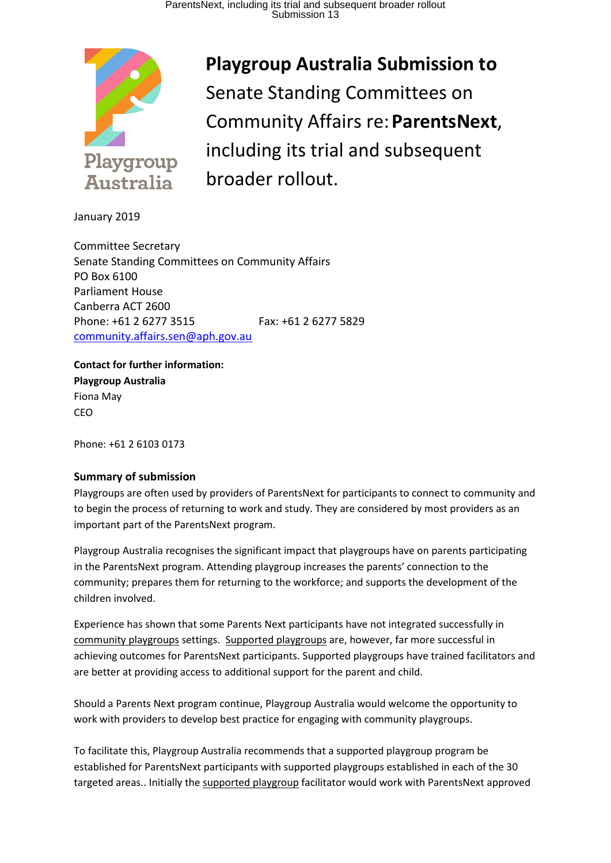

**Playgroup Australia Submission to**  Senate Standing Committees on Community Affairs re:**ParentsNext**, including its trial and subsequent broader rollout.

January 2019

Committee Secretary Senate Standing Committees on Community Affairs PO Box 6100 Parliament House Canberra ACT 2600 Phone: +61 2 6277 3515 Fax: +61 2 6277 5829 [community.affairs.sen@aph.gov.au](mailto:community.affairs.sen@aph.gov.au)

**Contact for further information: Playgroup Australia**  Fiona May **CEO** 

Phone: +61 2 6103 0173

# **Summary of submission**

Playgroups are often used by providers of ParentsNext for participants to connect to community and to begin the process of returning to work and study. They are considered by most providers as an important part of the ParentsNext program.

Playgroup Australia recognises the significant impact that playgroups have on parents participating in the ParentsNext program. Attending playgroup increases the parents' connection to the community; prepares them for returning to the workforce; and supports the development of the children involved.

Experience has shown that some Parents Next participants have not integrated successfully in community playgroups settings. Supported playgroups are, however, far more successful in achieving outcomes for ParentsNext participants. Supported playgroups have trained facilitators and are better at providing access to additional support for the parent and child.

Should a Parents Next program continue, Playgroup Australia would welcome the opportunity to work with providers to develop best practice for engaging with community playgroups.

To facilitate this, Playgroup Australia recommends that a supported playgroup program be established for ParentsNext participants with supported playgroups established in each of the 30 targeted areas.. Initially the supported playgroup facilitator would work with ParentsNext approved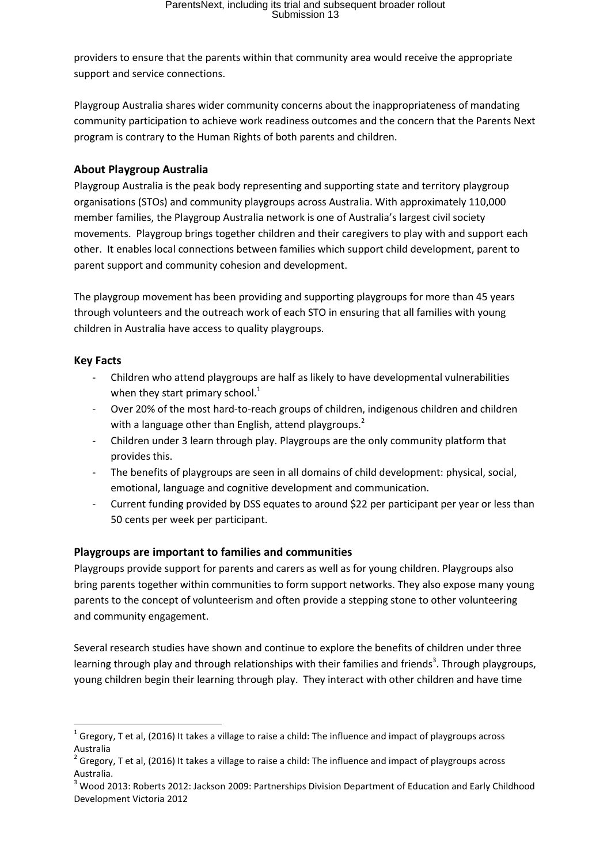providers to ensure that the parents within that community area would receive the appropriate support and service connections.

Playgroup Australia shares wider community concerns about the inappropriateness of mandating community participation to achieve work readiness outcomes and the concern that the Parents Next program is contrary to the Human Rights of both parents and children.

#### **About Playgroup Australia**

Playgroup Australia is the peak body representing and supporting state and territory playgroup organisations (STOs) and community playgroups across Australia. With approximately 110,000 member families, the Playgroup Australia network is one of Australia's largest civil society movements. Playgroup brings together children and their caregivers to play with and support each other. It enables local connections between families which support child development, parent to parent support and community cohesion and development.

The playgroup movement has been providing and supporting playgroups for more than 45 years through volunteers and the outreach work of each STO in ensuring that all families with young children in Australia have access to quality playgroups.

#### **Key Facts**

- Children who attend playgroups are half as likely to have developmental vulnerabilities when they start primary school.<sup>1</sup>
- Over 20% of the most hard-to-reach groups of children, indigenous children and children with a language other than English, attend playgroups.<sup>2</sup>
- Children under 3 learn through play. Playgroups are the only community platform that provides this.
- The benefits of playgroups are seen in all domains of child development: physical, social, emotional, language and cognitive development and communication.
- Current funding provided by DSS equates to around \$22 per participant per year or less than 50 cents per week per participant.

# **Playgroups are important to families and communities**

Playgroups provide support for parents and carers as well as for young children. Playgroups also bring parents together within communities to form support networks. They also expose many young parents to the concept of volunteerism and often provide a stepping stone to other volunteering and community engagement.

Several research studies have shown and continue to explore the benefits of children under three learning through play and through relationships with their families and friends<sup>3</sup>. Through playgroups, young children begin their learning through play. They interact with other children and have time

**<sup>.</sup>**  $^{1}$  Gregory, T et al, (2016) It takes a village to raise a child: The influence and impact of playgroups across Australia

 $^{2}$  Gregory, T et al, (2016) It takes a village to raise a child: The influence and impact of playgroups across Australia.

<sup>&</sup>lt;sup>3</sup> Wood 2013: Roberts 2012: Jackson 2009: Partnerships Division Department of Education and Early Childhood Development Victoria 2012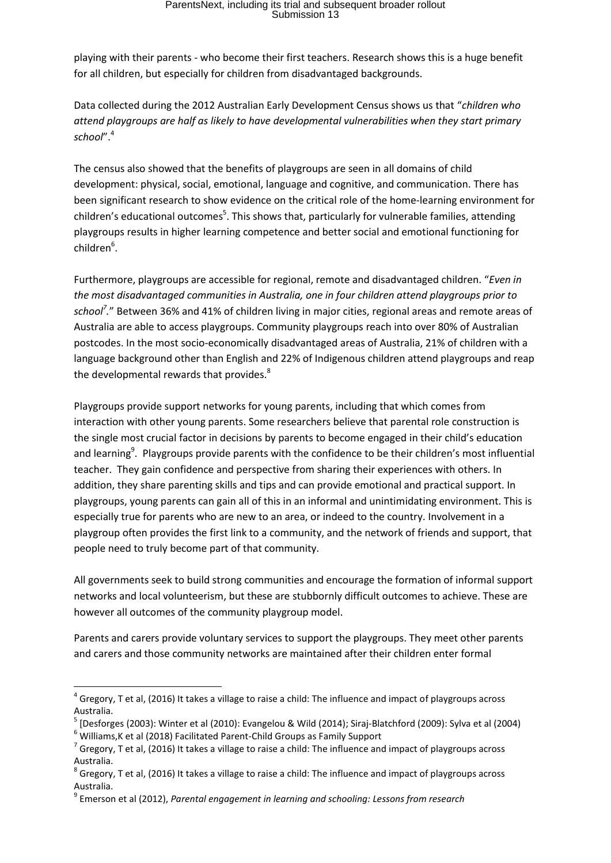# ParentsNext, including its trial and subsequent broader rollout Submission 13

playing with their parents - who become their first teachers. Research shows this is a huge benefit for all children, but especially for children from disadvantaged backgrounds.

Data collected during the 2012 Australian Early Development Census shows us that "*children who attend playgroups are half as likely to have developmental vulnerabilities when they start primary school*". 4

The census also showed that the benefits of playgroups are seen in all domains of child development: physical, social, emotional, language and cognitive, and communication. There has been significant research to show evidence on the critical role of the home-learning environment for children's educational outcomes<sup>5</sup>. This shows that, particularly for vulnerable families, attending playgroups results in higher learning competence and better social and emotional functioning for children<sup>6</sup>.

Furthermore, playgroups are accessible for regional, remote and disadvantaged children. "*Even in the most disadvantaged communities in Australia, one in four children attend playgroups prior to school<sup>7</sup> .*" Between 36% and 41% of children living in major cities, regional areas and remote areas of Australia are able to access playgroups. Community playgroups reach into over 80% of Australian postcodes. In the most socio-economically disadvantaged areas of Australia, 21% of children with a language background other than English and 22% of Indigenous children attend playgroups and reap the developmental rewards that provides.<sup>8</sup>

Playgroups provide support networks for young parents, including that which comes from interaction with other young parents. Some researchers believe that parental role construction is the single most crucial factor in decisions by parents to become engaged in their child's education and learning<sup>9</sup>. Playgroups provide parents with the confidence to be their children's most influential teacher. They gain confidence and perspective from sharing their experiences with others. In addition, they share parenting skills and tips and can provide emotional and practical support. In playgroups, young parents can gain all of this in an informal and unintimidating environment. This is especially true for parents who are new to an area, or indeed to the country. Involvement in a playgroup often provides the first link to a community, and the network of friends and support, that people need to truly become part of that community.

All governments seek to build strong communities and encourage the formation of informal support networks and local volunteerism, but these are stubbornly difficult outcomes to achieve. These are however all outcomes of the community playgroup model.

Parents and carers provide voluntary services to support the playgroups. They meet other parents and carers and those community networks are maintained after their children enter formal

**.** 

 $^4$  Gregory, T et al, (2016) It takes a village to raise a child: The influence and impact of playgroups across Australia.

<sup>5</sup> [Desforges (2003): Winter et al (2010): Evangelou & Wild (2014); Siraj-Blatchford (2009): Sylva et al (2004)

<sup>6</sup> Williams,K et al (2018) Facilitated Parent-Child Groups as Family Support

 $^7$  Gregory, T et al, (2016) It takes a village to raise a child: The influence and impact of playgroups across Australia.

 $^8$  Gregory, T et al, (2016) It takes a village to raise a child: The influence and impact of playgroups across Australia.

<sup>9</sup> Emerson et al (2012), *Parental engagement in learning and schooling: Lessons from research*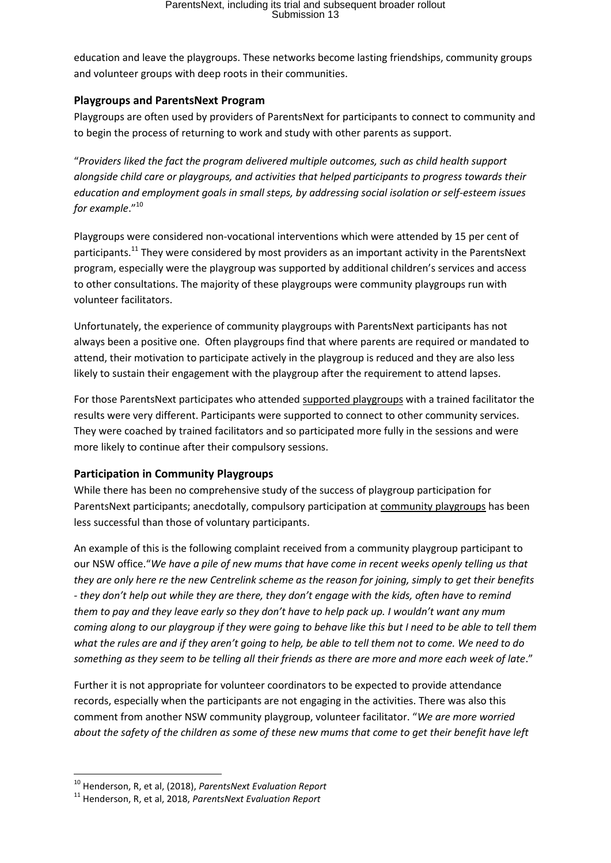education and leave the playgroups. These networks become lasting friendships, community groups and volunteer groups with deep roots in their communities.

#### **Playgroups and ParentsNext Program**

Playgroups are often used by providers of ParentsNext for participants to connect to community and to begin the process of returning to work and study with other parents as support.

"*Providers liked the fact the program delivered multiple outcomes, such as child health support alongside child care or playgroups, and activities that helped participants to progress towards their education and employment goals in small steps, by addressing social isolation or self-esteem issues for example*."<sup>10</sup>

Playgroups were considered non-vocational interventions which were attended by 15 per cent of participants.<sup>11</sup> They were considered by most providers as an important activity in the ParentsNext program, especially were the playgroup was supported by additional children's services and access to other consultations. The majority of these playgroups were community playgroups run with volunteer facilitators.

Unfortunately, the experience of community playgroups with ParentsNext participants has not always been a positive one. Often playgroups find that where parents are required or mandated to attend, their motivation to participate actively in the playgroup is reduced and they are also less likely to sustain their engagement with the playgroup after the requirement to attend lapses.

For those ParentsNext participates who attended supported playgroups with a trained facilitator the results were very different. Participants were supported to connect to other community services. They were coached by trained facilitators and so participated more fully in the sessions and were more likely to continue after their compulsory sessions.

# **Participation in Community Playgroups**

While there has been no comprehensive study of the success of playgroup participation for ParentsNext participants; anecdotally, compulsory participation at community playgroups has been less successful than those of voluntary participants.

An example of this is the following complaint received from a community playgroup participant to our NSW office."*We have a pile of new mums that have come in recent weeks openly telling us that they are only here re the new Centrelink scheme as the reason for joining, simply to get their benefits - they don't help out while they are there, they don't engage with the kids, often have to remind them to pay and they leave early so they don't have to help pack up. I wouldn't want any mum coming along to our playgroup if they were going to behave like this but I need to be able to tell them what the rules are and if they aren't going to help, be able to tell them not to come. We need to do something as they seem to be telling all their friends as there are more and more each week of late*."

Further it is not appropriate for volunteer coordinators to be expected to provide attendance records, especially when the participants are not engaging in the activities. There was also this comment from another NSW community playgroup, volunteer facilitator. "*We are more worried about the safety of the children as some of these new mums that come to get their benefit have left* 

**.** 

<sup>10</sup> Henderson, R, et al, (2018), *ParentsNext Evaluation Report*

<sup>11</sup> Henderson, R, et al, 2018, *ParentsNext Evaluation Report*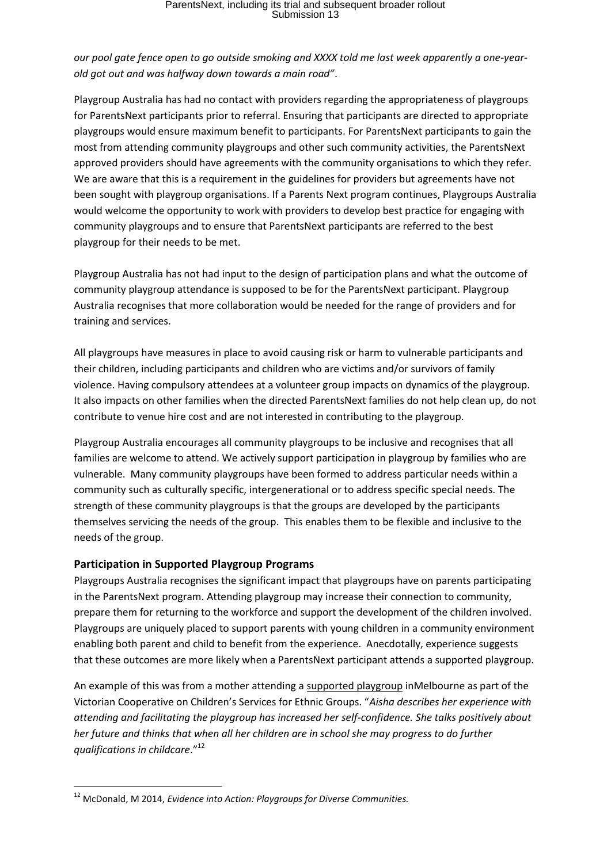# *our pool gate fence open to go outside smoking and XXXX told me last week apparently a one-yearold got out and was halfway down towards a main road"*.

Playgroup Australia has had no contact with providers regarding the appropriateness of playgroups for ParentsNext participants prior to referral. Ensuring that participants are directed to appropriate playgroups would ensure maximum benefit to participants. For ParentsNext participants to gain the most from attending community playgroups and other such community activities, the ParentsNext approved providers should have agreements with the community organisations to which they refer. We are aware that this is a requirement in the guidelines for providers but agreements have not been sought with playgroup organisations. If a Parents Next program continues, Playgroups Australia would welcome the opportunity to work with providers to develop best practice for engaging with community playgroups and to ensure that ParentsNext participants are referred to the best playgroup for their needs to be met.

Playgroup Australia has not had input to the design of participation plans and what the outcome of community playgroup attendance is supposed to be for the ParentsNext participant. Playgroup Australia recognises that more collaboration would be needed for the range of providers and for training and services.

All playgroups have measures in place to avoid causing risk or harm to vulnerable participants and their children, including participants and children who are victims and/or survivors of family violence. Having compulsory attendees at a volunteer group impacts on dynamics of the playgroup. It also impacts on other families when the directed ParentsNext families do not help clean up, do not contribute to venue hire cost and are not interested in contributing to the playgroup.

Playgroup Australia encourages all community playgroups to be inclusive and recognises that all families are welcome to attend. We actively support participation in playgroup by families who are vulnerable. Many community playgroups have been formed to address particular needs within a community such as culturally specific, intergenerational or to address specific special needs. The strength of these community playgroups is that the groups are developed by the participants themselves servicing the needs of the group. This enables them to be flexible and inclusive to the needs of the group.

# **Participation in Supported Playgroup Programs**

 $\overline{a}$ 

Playgroups Australia recognises the significant impact that playgroups have on parents participating in the ParentsNext program. Attending playgroup may increase their connection to community, prepare them for returning to the workforce and support the development of the children involved. Playgroups are uniquely placed to support parents with young children in a community environment enabling both parent and child to benefit from the experience. Anecdotally, experience suggests that these outcomes are more likely when a ParentsNext participant attends a supported playgroup.

An example of this was from a mother attending a supported playgroup inMelbourne as part of the Victorian Cooperative on Children's Services for Ethnic Groups. "*Aisha describes her experience with attending and facilitating the playgroup has increased her self-confidence. She talks positively about her future and thinks that when all her children are in school she may progress to do further qualifications in childcare*."<sup>12</sup>

<sup>12</sup> McDonald, M 2014, *Evidence into Action: Playgroups for Diverse Communities.*